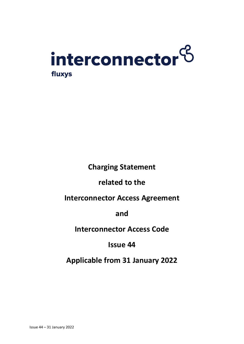

**Charging Statement** 

**related to the**

**Interconnector Access Agreement**

**and**

**Interconnector Access Code**

**Issue 44**

**Applicable from 31 January 2022**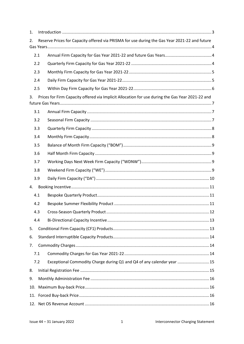| 1. |     |                                                                                                  |  |  |  |  |  |
|----|-----|--------------------------------------------------------------------------------------------------|--|--|--|--|--|
| 2. |     | Reserve Prices for Capacity offered via PRISMA for use during the Gas Year 2021-22 and future    |  |  |  |  |  |
|    |     |                                                                                                  |  |  |  |  |  |
|    | 2.1 |                                                                                                  |  |  |  |  |  |
|    | 2.2 |                                                                                                  |  |  |  |  |  |
|    | 2.3 |                                                                                                  |  |  |  |  |  |
|    | 2.4 |                                                                                                  |  |  |  |  |  |
|    | 2.5 |                                                                                                  |  |  |  |  |  |
| 3. |     | Prices for Firm Capacity offered via Implicit Allocation for use during the Gas Year 2021-22 and |  |  |  |  |  |
|    | 3.1 |                                                                                                  |  |  |  |  |  |
|    | 3.2 |                                                                                                  |  |  |  |  |  |
|    | 3.3 |                                                                                                  |  |  |  |  |  |
|    | 3.4 |                                                                                                  |  |  |  |  |  |
|    | 3.5 |                                                                                                  |  |  |  |  |  |
|    | 3.6 |                                                                                                  |  |  |  |  |  |
|    | 3.7 |                                                                                                  |  |  |  |  |  |
|    | 3.8 |                                                                                                  |  |  |  |  |  |
|    | 3.9 |                                                                                                  |  |  |  |  |  |
| 4. |     |                                                                                                  |  |  |  |  |  |
|    | 4.1 |                                                                                                  |  |  |  |  |  |
|    | 4.2 |                                                                                                  |  |  |  |  |  |
|    | 4.3 |                                                                                                  |  |  |  |  |  |
|    | 4.4 |                                                                                                  |  |  |  |  |  |
| 5. |     |                                                                                                  |  |  |  |  |  |
| 6. |     |                                                                                                  |  |  |  |  |  |
| 7. |     |                                                                                                  |  |  |  |  |  |
|    | 7.1 |                                                                                                  |  |  |  |  |  |
|    | 7.2 | Exceptional Commodity Charge during Q1 and Q4 of any calendar year  15                           |  |  |  |  |  |
| 8. |     |                                                                                                  |  |  |  |  |  |
| 9. |     |                                                                                                  |  |  |  |  |  |
|    |     |                                                                                                  |  |  |  |  |  |
|    |     |                                                                                                  |  |  |  |  |  |
|    |     |                                                                                                  |  |  |  |  |  |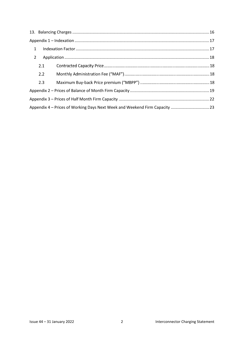| $\mathbf{1}$   |                                                                             |  |  |  |  |  |
|----------------|-----------------------------------------------------------------------------|--|--|--|--|--|
| $\overline{2}$ |                                                                             |  |  |  |  |  |
|                | 2.1                                                                         |  |  |  |  |  |
|                | 2.2                                                                         |  |  |  |  |  |
|                | 2.3                                                                         |  |  |  |  |  |
|                |                                                                             |  |  |  |  |  |
|                |                                                                             |  |  |  |  |  |
|                | Appendix 4 – Prices of Working Days Next Week and Weekend Firm Capacity  23 |  |  |  |  |  |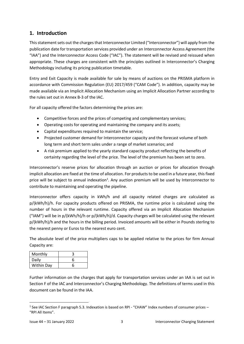## <span id="page-3-0"></span>**1. Introduction**

This statement sets out the charges that Interconnector Limited ("Interconnector") will apply from the publication date for transportation services provided under an Interconnector Access Agreement (the "IAA") and the Interconnector Access Code ("IAC"). The statement will be revised and reissued when appropriate. These charges are consistent with the principles outlined in Interconnector's Charging Methodology including its pricing publication timetable.

Entry and Exit Capacity is made available for sale by means of auctions on the PRISMA platform in accordance with Commission Regulation (EU) 2017/459 ("CAM Code"). In addition, capacity may be made available via an Implicit Allocation Mechanism using an Implicit Allocation Partner according to the rules set out in Annex B-3 of the IAC.

For all capacity offered the factors determining the prices are:

- Competitive forces and the prices of competing and complementary services;
- Operating costs for operating and maintaining the company and its assets;
- Capital expenditures required to maintain the service;
- Projected customer demand for Interconnector capacity and the forecast volume of both long term and short term sales under a range of market scenarios; and
- A risk premium applied to the yearly standard capacity product reflecting the benefits of certainty regarding the level of the price. The level of the premium has been set to zero.

Interconnector's reserve prices for allocation through an auction or prices for allocation through implicit allocation are fixed at the time of allocation. For products to be used in a future year, this fixed price will be subject to annual indexation<sup>1</sup>. Any auction premium will be used by Interconnector to contribute to maintaining and operating the pipeline.

Interconnector offers capacity in kWh/h and all capacity related charges are calculated as p/(kWh/h)/h. For capacity products offered on PRISMA, the runtime price is calculated using the number of hours in the relevant runtime. Capacity offered via an Implicit Allocation Mechanism ("IAM") will be in p/(kWh/h)/h or p/(kWh/h)/d. Capacity charges will be calculated using the relevant p/(kWh/h)/h and the hours in the billing period. Invoiced amounts will be either in Pounds sterling to the nearest penny or Euros to the nearest euro cent.

The absolute level of the price multipliers caps to be applied relative to the prices for firm Annual Capacity are:

| Monthly    |   |
|------------|---|
| Daily      | 6 |
| Within Day | 6 |

Further information on the charges that apply for transportation services under an IAA is set out in Section F of the IAC and Interconnector's Charging Methodology. The definitions of terms used in this document can be found in the IAA.

<sup>&</sup>lt;sup>1</sup> See IAC Section F paragraph 5.3. Indexation is based on RPI - "CHAW" Index numbers of consumer prices -"RPI All Items".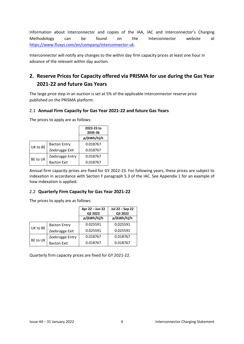Information about Interconnector and copies of the IAA, IAC and Interconnector's Charging Methodology can be found on the Interconnector website at [https://www.fluxys.com/en/company/interconnector-uk.](https://www.fluxys.com/en/company/interconnector-uk)

Interconnector will notify any changes to the within day firm capacity prices at least one hour in advance of the relevant within day auction.

# <span id="page-4-0"></span>**2. Reserve Prices for Capacity offered via PRISMA for use during the Gas Year 2021-22 and future Gas Years**

The large price step in an auction is set at 5% of the applicable Interconnector reserve price published on the PRISMA platform.

## <span id="page-4-1"></span>2.1 **Annual Firm Capacity for Gas Year 2021-22 and future Gas Years**

The prices to apply are as follows:

|          |                     | 2022-23 to<br>2035-36 |
|----------|---------------------|-----------------------|
|          |                     | p/(kWh/h)/h           |
| UK to BE | <b>Bacton Entry</b> | 0.018767              |
|          | Zeebrugge Exit      | 0.018767              |
| BE to UK | Zeebrugge Entry     | 0.018767              |
|          | <b>Bacton Exit</b>  | 0.018767              |

Annual firm capacity prices are fixed for GY 2022-23. For following years, these prices are subject to indexation in accordance with Section F paragraph 5.3 of the IAC. See Appendix 1 for an example of how indexation is applied.

#### <span id="page-4-2"></span>2.2 **Quarterly Firm Capacity for Gas Year 2021-22**

The prices to apply are as follows:

|          |                     | Apr 22 - Jun 22<br>Q2 2022 | Jul 22 - Sep 22<br>Q3 2022 |  |
|----------|---------------------|----------------------------|----------------------------|--|
|          |                     | p/(kWh/h)/h                | p/(kWh/h)/h                |  |
|          | <b>Bacton Entry</b> | 0.025591                   | 0.025591                   |  |
| UK to BE | Zeebrugge Exit      | 0.025591                   | 0.025591                   |  |
|          | Zeebrugge Entry     | 0.018767                   | 0.018767                   |  |
| BE to UK | <b>Bacton Exit</b>  | 0.018767                   | 0.018767                   |  |

Quarterly firm capacity prices are fixed for GY 2021-22.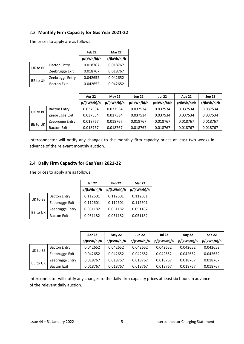## <span id="page-5-0"></span>2.3 **Monthly Firm Capacity for Gas Year 2021-22**

The prices to apply are as follows:

|          |                     | Feb <sub>22</sub> | Mar 22      |
|----------|---------------------|-------------------|-------------|
|          |                     | p/(kWh/h)/h       | p/(kWh/h)/h |
|          | <b>Bacton Entry</b> | 0.018767          | 0.018767    |
| UK to BE | Zeebrugge Exit      | 0.018767          | 0.018767    |
|          | Zeebrugge Entry     | 0.042652          | 0.042652    |
| BE to UK | <b>Bacton Exit</b>  | 0.042652          | 0.042652    |

|          |                     | Apr 22      | <b>May 22</b> | <b>Jun 22</b> | <b>Jul 22</b> | <b>Aug 22</b> | Sep 22      |
|----------|---------------------|-------------|---------------|---------------|---------------|---------------|-------------|
|          |                     | p/(kWh/h)/h | p/(kWh/h)/h   | p/(kWh/h)/h   | p/(kWh/h)/h   | p/(kWh/h)/h   | p/(kWh/h)/h |
| UK to BE | <b>Bacton Entry</b> | 0.037534    | 0.037534      | 0.037534      | 0.037534      | 0.037534      | 0.037534    |
|          | Zeebrugge Exit      | 0.037534    | 0.037534      | 0.037534      | 0.037534      | 0.037534      | 0.037534    |
| BE to UK | Zeebrugge Entry     | 0.018767    | 0.018767      | 0.018767      | 0.018767      | 0.018767      | 0.018767    |
|          | <b>Bacton Exit</b>  | 0.018767    | 0.018767      | 0.018767      | 0.018767      | 0.018767      | 0.018767    |

Interconnector will notify any changes to the monthly firm capacity prices at least two weeks in advance of the relevant monthly auction.

#### <span id="page-5-1"></span>2.4 **Daily Firm Capacity for Gas Year 2021-22**

The prices to apply are as follows:

|          |                     | <b>Jan 22</b> | Feb <sub>22</sub> | <b>Mar 22</b> |
|----------|---------------------|---------------|-------------------|---------------|
|          |                     | p/(kWh/h)/h   | p/(kWh/h)/h       | p/(kWh/h)/h   |
| UK to BE | <b>Bacton Entry</b> | 0.112601      | 0.112601          | 0.112601      |
|          | Zeebrugge Exit      | 0.112601      | 0.112601          | 0.112601      |
|          | Zeebrugge Entry     | 0.051182      | 0.051182          | 0.051182      |
| BE to UK | <b>Bacton Exit</b>  | 0.051182      | 0.051182          | 0.051182      |

|          |                    | Apr 22      | <b>May 22</b> | <b>Jun 22</b> | <b>Jul 22</b> | <b>Aug 22</b> | Sep 22      |
|----------|--------------------|-------------|---------------|---------------|---------------|---------------|-------------|
|          |                    | p/(kWh/h)/h | p/(kWh/h)/h   | p/(kWh/h)/h   | p/(kWh/h)/h   | p/(kWh/h)/h   | p/(kWh/h)/h |
| UK to BE | Bacton Entry       | 0.042652    | 0.042652      | 0.042652      | 0.042652      | 0.042652      | 0.042652    |
|          | Zeebrugge Exit     | 0.042652    | 0.042652      | 0.042652      | 0.042652      | 0.042652      | 0.042652    |
| BE to UK | Zeebrugge Entry    | 0.018767    | 0.018767      | 0.018767      | 0.018767      | 0.018767      | 0.018767    |
|          | <b>Bacton Exit</b> | 0.018767    | 0.018767      | 0.018767      | 0.018767      | 0.018767      | 0.018767    |

Interconnector will notify any changes to the daily firm capacity prices at least six hours in advance of the relevant daily auction.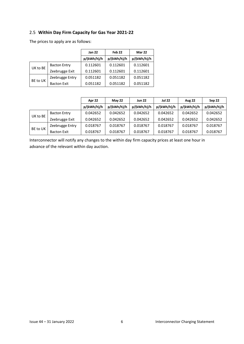## <span id="page-6-0"></span>2.5 **Within Day Firm Capacity for Gas Year 2021-22**

|          |                     | <b>Jan 22</b> | Feb <sub>22</sub> | <b>Mar 22</b> |
|----------|---------------------|---------------|-------------------|---------------|
|          |                     | p/(kWh/h)/h   | p/(kWh/h)/h       | p/(kWh/h)/h   |
| UK to BE | <b>Bacton Entry</b> | 0.112601      | 0.112601          | 0.112601      |
|          | Zeebrugge Exit      | 0.112601      | 0.112601          | 0.112601      |
| BE to UK | Zeebrugge Entry     | 0.051182      | 0.051182          | 0.051182      |
|          | <b>Bacton Exit</b>  | 0.051182      | 0.051182          | 0.051182      |

The prices to apply are as follows:

|          |                     | Apr 22      | <b>May 22</b> | <b>Jun 22</b> | <b>Jul 22</b> | <b>Aug 22</b> | Sep 22      |
|----------|---------------------|-------------|---------------|---------------|---------------|---------------|-------------|
|          |                     | p/(kWh/h)/h | p/(kWh/h)/h   | p/(kWh/h)/h   | p/(kWh/h)/h   | p/(kWh/h)/h   | p/(kWh/h)/h |
|          | <b>Bacton Entry</b> | 0.042652    | 0.042652      | 0.042652      | 0.042652      | 0.042652      | 0.042652    |
| UK to BE | Zeebrugge Exit      | 0.042652    | 0.042652      | 0.042652      | 0.042652      | 0.042652      | 0.042652    |
| BE to UK | Zeebrugge Entry     | 0.018767    | 0.018767      | 0.018767      | 0.018767      | 0.018767      | 0.018767    |
|          | <b>Bacton Exit</b>  | 0.018767    | 0.018767      | 0.018767      | 0.018767      | 0.018767      | 0.018767    |

Interconnector will notify any changes to the within day firm capacity prices at least one hour in advance of the relevant within day auction.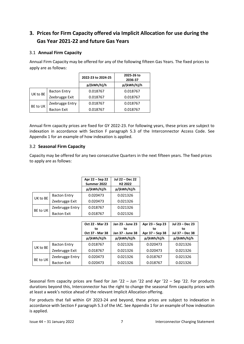# <span id="page-7-0"></span>**3. Prices for Firm Capacity offered via Implicit Allocation for use during the Gas Year 2021-22 and future Gas Years**

## <span id="page-7-1"></span>3.1 **Annual Firm Capacity**

Annual Firm Capacity may be offered for any of the following fifteen Gas Years. The fixed prices to apply are as follows:

|          |                     | 2022-23 to 2024-25 | 2025-26 to<br>2036-37 |
|----------|---------------------|--------------------|-----------------------|
|          |                     | p/(kWh/h)/h        | p/(kWh/h)/h           |
|          | <b>Bacton Entry</b> | 0.018767           | 0.018767              |
| UK to BE | Zeebrugge Exit      | 0.018767           | 0.018767              |
|          | Zeebrugge Entry     | 0.018767           | 0.018767              |
| BE to UK | <b>Bacton Exit</b>  | 0.018767           | 0.018767              |

Annual firm capacity prices are fixed for GY 2022-23. For following years, these prices are subject to indexation in accordance with Section F paragraph 5.3 of the Interconnector Access Code. See Appendix 1 for an example of how indexation is applied.

#### <span id="page-7-2"></span>3.2 **Seasonal Firm Capacity**

Capacity may be offered for any two consecutive Quarters in the next fifteen years. The fixed prices to apply are as follows:

|          |                     | Apr 22 - Sep 22<br>Summer 2022 | Jul 22 - Dec 22<br>H <sub>2</sub> 2022 |
|----------|---------------------|--------------------------------|----------------------------------------|
|          |                     | p/(kWh/h)/h                    | p/(kWh/h)/h                            |
| UK to BE | <b>Bacton Entry</b> | 0.020473                       | 0.021326                               |
|          | Zeebrugge Exit      | 0.020473                       | 0.021326                               |
| BE to UK | Zeebrugge Entry     | 0.018767                       | 0.021326                               |
|          | <b>Bacton Exit</b>  | 0.018767                       | 0.021326                               |

|          |                     | Oct 22 - Mar 23 | Jan 23 - June 23 | Apr 23 – Sep 23 | Jul 23 - Dec 23 |
|----------|---------------------|-----------------|------------------|-----------------|-----------------|
|          |                     | to              | to               | to              | to              |
|          |                     | Oct 37 - Mar 38 | Jan 37 - June 38 | Apr 37 - Sep 38 | Jul 37 - Dec 38 |
|          |                     | p/(kWh/h)/h     | p/(kWh/h)/h      | p/(kWh/h)/h     | p/(kWh/h)/h     |
| UK to BE | <b>Bacton Entry</b> | 0.018767        | 0.021326         | 0.020473        | 0.021326        |
|          | Zeebrugge Exit      | 0.018767        | 0.021326         | 0.020473        | 0.021326        |
|          | Zeebrugge Entry     | 0.020473        | 0.021326         | 0.018767        | 0.021326        |
| BE to UK | <b>Bacton Exit</b>  | 0.020473        | 0.021326         | 0.018767        | 0.021326        |

Seasonal firm capacity prices are fixed for Jan '22 – Jun '22 and Apr '22 – Sep '22. For products durations beyond this, Interconnector has the right to change the seasonal firm capacity prices with at least a week's notice ahead of the relevant Implicit Allocation offering.

For products that fall within GY 2023-24 and beyond, these prices are subject to indexation in accordance with Section F paragraph 5.3 of the IAC. See Appendix 1 for an example of how indexation is applied.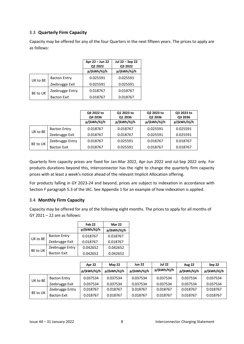## <span id="page-8-0"></span>3.3 **Quarterly Firm Capacity**

Capacity may be offered for any of the four Quarters in the next fifteen years. The prices to apply are as follows:

|          |                     | Apr 22 - Jun 22<br>Q2 2022 | Jul 22 - Sep 22<br>Q3 2022 |
|----------|---------------------|----------------------------|----------------------------|
|          |                     | p/(kWh/h)/h                | p/(kWh/h)/h                |
| UK to BE | <b>Bacton Entry</b> | 0.025591                   | 0.025591                   |
|          | Zeebrugge Exit      | 0.025591                   | 0.025591                   |
| BE to UK | Zeebrugge Entry     | 0.018767                   | 0.018767                   |
|          | <b>Bacton Exit</b>  | 0.018767                   | 0.018767                   |

|          |                     | Q4 2022 to<br>Q4 2036 | Q1 2023 to<br>Q1 2036 | Q2 2023 to<br>Q2 2036 | Q3 2023 to<br>Q3 2036 |
|----------|---------------------|-----------------------|-----------------------|-----------------------|-----------------------|
|          |                     | p/(kWh/h)/h           | p/(kWh/h)/h           | p/(kWh/h)/h           | p/(kWh/h)/h           |
| UK to BE | <b>Bacton Entry</b> | 0.018767              | 0.018767              | 0.025591              | 0.025591              |
|          | Zeebrugge Exit      | 0.018767              | 0.018767              | 0.025591              | 0.025591              |
|          | Zeebrugge Entry     | 0.018767              | 0.025591              | 0.018767              | 0.018767              |
| BE to UK | <b>Bacton Exit</b>  | 0.018767              | 0.025591              | 0.018767              | 0.018767              |

Quarterly firm capacity prices are fixed for Jan-Mar 2022, Apr-Jun 2022 and Jul-Sep 2022 only. For products durations beyond this, Interconnector has the right to change the quarterly firm capacity prices with at least a week's notice ahead of the relevant Implicit Allocation offering.

For products falling in GY 2023-24 and beyond, prices are subject to indexation in accordance with Section F paragraph 5.3 of the IAC. See Appendix 1 for an example of how indexation is applied.

#### <span id="page-8-1"></span>3.4 **Monthly Firm Capacity**

Capacity may be offered for any of the following eight months. The prices to apply for all months of GY 2021 – 22 are as follows:

|          |                     | Feb <sub>22</sub> | <b>Mar 22</b> |
|----------|---------------------|-------------------|---------------|
|          |                     | p/(kWh/h)/h       | p/(kWh/h)/h   |
| UK to BE | <b>Bacton Entry</b> | 0.018767          | 0.018767      |
|          | Zeebrugge Exit      | 0.018767          | 0.018767      |
| BE to UK | Zeebrugge Entry     | 0.042652          | 0.042652      |
|          | <b>Bacton Exit</b>  | 0.042652          | 0.042652      |

|          |                 | Apr 22      | <b>May 22</b> | <b>Jun 22</b> | <b>Jul 22</b> | <b>Aug 22</b> | Sep 22      |
|----------|-----------------|-------------|---------------|---------------|---------------|---------------|-------------|
|          |                 | p/(kWh/h)/h | p/(kWh/h)/h   | p/(kWh/h)/h   | p/(kWh/h)/h   | p/(kWh/h)/h   | p/(kWh/h)/h |
| UK to BE | Bacton Entry    | 0.037534    | 0.037534      | 0.037534      | 0.037534      | 0.037534      | 0.037534    |
|          | Zeebrugge Exit  | 0.037534    | 0.037534      | 0.037534      | 0.037534      | 0.037534      | 0.037534    |
|          | Zeebrugge Entry | 0.018767    | 0.018767      | 0.018767      | 0.018767      | 0.018767      | 0.018767    |
| BE to UK | Bacton Exit     | 0.018767    | 0.018767      | 0.018767      | 0.018767      | 0.018767      | 0.018767    |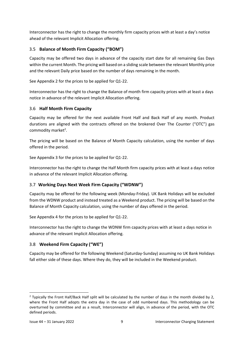Interconnector has the right to change the monthly firm capacity prices with at least a day's notice ahead of the relevant Implicit Allocation offering.

## <span id="page-9-0"></span>3.5 **Balance of Month Firm Capacity ("BOM")**

Capacity may be offered two days in advance of the capacity start date for all remaining Gas Days within the current Month. The pricing will based on a sliding scale between the relevant Monthly price and the relevant Daily price based on the number of days remaining in the month.

See Appendix 2 for the prices to be applied for Q1-22.

Interconnector has the right to change the Balance of month firm capacity prices with at least a days notice in advance of the relevant Implicit Allocation offering.

## <span id="page-9-1"></span>3.6 **Half Month Firm Capacity**

Capacity may be offered for the next available Front Half and Back Half of any month. Product durations are aligned with the contracts offered on the brokered Over The Counter ("OTC") gas commodity market<sup>2</sup>.

The pricing will be based on the Balance of Month Capacity calculation, using the number of days offered in the period.

See Appendix 3 for the prices to be applied for Q1-22.

Interconnector has the right to change the Half Month firm capacity prices with at least a days notice in advance of the relevant Implicit Allocation offering.

## <span id="page-9-2"></span>3.7 **Working Days Next Week Firm Capacity ("WDNW")**

Capacity may be offered for the following week (Monday-Friday). UK Bank Holidays will be excluded from the WDNW product and instead treated as a Weekend product. The pricing will be based on the Balance of Month Capacity calculation, using the number of days offered in the period.

See Appendix 4 for the prices to be applied for Q1-22.

Interconnector has the right to change the WDNW firm capacity prices with at least a days notice in advance of the relevant Implicit Allocation offering.

## <span id="page-9-3"></span>3.8 **Weekend Firm Capacity ("WE")**

Capacity may be offered for the following Weekend (Saturday-Sunday) assuming no UK Bank Holidays fall either side of these days. Where they do, they will be included in the Weekend product.

<sup>&</sup>lt;sup>2</sup> Typically the Front Half/Back Half split will be calculated by the number of days in the month divided by 2, where the Front Half adopts the extra day in the case of odd numbered days. This methodology can be overturned by committee and as a result, Interconnector will align, in advance of the period, with the OTC defined periods.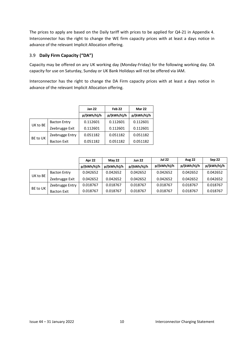The prices to apply are based on the Daily tariff with prices to be applied for Q4-21 in Appendix 4. Interconnector has the right to change the WE firm capacity prices with at least a days notice in advance of the relevant Implicit Allocation offering.

### <span id="page-10-0"></span>3.9 **Daily Firm Capacity ("DA")**

Capacity may be offered on any UK working day (Monday-Friday) for the following working day. DA capacity for use on Saturday, Sunday or UK Bank Holidays will not be offered via IAM.

Interconnector has the right to change the DA Firm capacity prices with at least a days notice in advance of the relevant Implicit Allocation offering.

|          |                     | <b>Jan 22</b> | Feb <sub>22</sub> | Mar 22      |
|----------|---------------------|---------------|-------------------|-------------|
|          |                     | p/(kWh/h)/h   | p/(kWh/h)/h       | p/(kWh/h)/h |
| UK to BE | <b>Bacton Entry</b> | 0.112601      | 0.112601          | 0.112601    |
|          | Zeebrugge Exit      | 0.112601      | 0.112601          | 0.112601    |
| BE to UK | Zeebrugge Entry     | 0.051182      | 0.051182          | 0.051182    |
|          | <b>Bacton Exit</b>  | 0.051182      | 0.051182          | 0.051182    |

|          |                    | Apr 22      | <b>May 22</b> | <b>Jun 22</b> | <b>Jul 22</b> | <b>Aug 22</b> | Sep 22      |
|----------|--------------------|-------------|---------------|---------------|---------------|---------------|-------------|
|          |                    | p/(kWh/h)/h | p/(kWh/h)/h   | p/(kWh/h)/h   | p/(kWh/h)/h   | p/(kWh/h)/h   | p/(kWh/h)/h |
|          | Bacton Entry       | 0.042652    | 0.042652      | 0.042652      | 0.042652      | 0.042652      | 0.042652    |
| UK to BE | Zeebrugge Exit     | 0.042652    | 0.042652      | 0.042652      | 0.042652      | 0.042652      | 0.042652    |
|          | Zeebrugge Entry    | 0.018767    | 0.018767      | 0.018767      | 0.018767      | 0.018767      | 0.018767    |
| BE to UK | <b>Bacton Exit</b> | 0.018767    | 0.018767      | 0.018767      | 0.018767      | 0.018767      | 0.018767    |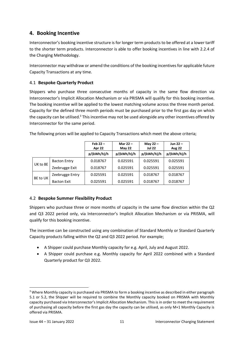## <span id="page-11-0"></span>**4. Booking Incentive**

Interconnector's booking incentive structure is for longer term products to be offered at a lower tariff to the shorter term products. Interconnector is able to offer booking incentives in line with 2.2.4 of the Charging Methodology.

Interconnector may withdraw or amend the conditions of the booking incentivesfor applicable future Capacity Transactions at any time.

## <span id="page-11-1"></span>4.1 **Bespoke Quarterly Product**

Shippers who purchase three consecutive months of capacity in the same flow direction via Interconnector's Implicit Allocation Mechanism or via PRISMA will qualify for this booking incentive. The booking incentive will be applied to the lowest matching volume across the three month period. Capacity for the defined three month periods must be purchased prior to the first gas day on which the capacity can be utilised.<sup>3</sup> This incentive may not be used alongside any other incentives offered by Interconnector for the same period.

|          |                     | Feb $22 -$<br>Apr 22 | Mar $22 -$<br>May 22 | May $22 -$<br><b>Jul 22</b> | Jun $22 -$<br><b>Aug 22</b> |
|----------|---------------------|----------------------|----------------------|-----------------------------|-----------------------------|
|          |                     | p/(kWh/h)/h          | p/(kWh/h)/h          | p/(kWh/h)/h                 | p/(kWh/h)/h                 |
|          | <b>Bacton Entry</b> | 0.018767             | 0.025591             | 0.025591                    | 0.025591                    |
| UK to BE | Zeebrugge Exit      | 0.018767             | 0.025591             | 0.025591                    | 0.025591                    |
|          | Zeebrugge Entry     | 0.025591             | 0.025591             | 0.018767                    | 0.018767                    |
| BE to UK | <b>Bacton Exit</b>  | 0.025591             | 0.025591             | 0.018767                    | 0.018767                    |

The following prices will be applied to Capacity Transactions which meet the above criteria;

## <span id="page-11-2"></span>4.2 **Bespoke Summer Flexibility Product**

Shippers who purchase three or more months of capacity in the same flow direction within the Q2 and Q3 2022 period only, via Interconnector's Implicit Allocation Mechanism or via PRISMA, will qualify for this booking incentive.

The incentive can be constructed using any combination of Standard Monthly or Standard Quarterly Capacity products falling within the Q2 and Q3 2022 period. For example;

- A Shipper could purchase Monthly capacity for e.g. April, July and August 2022.
- A Shipper could purchase e.g. Monthly capacity for April 2022 combined with a Standard Quarterly product for Q3 2022.

<sup>&</sup>lt;sup>3</sup> Where Monthly capacity is purchased via PRISMA to form a booking incentive as described in either paragraph 5.1 or 5.2, the Shipper will be required to combine the Monthly capacity booked on PRISMA with Monthly capacity purchased via Interconnector's Implicit Allocation Mechanism. This is in order to meet the requirement of purchasing all capacity before the first gas day the capacity can be utilised, as only M+1 Monthly Capacity is offered via PRISMA.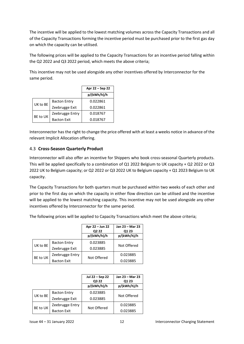The incentive will be applied to the lowest matching volumes across the Capacity Transactions and all of the Capacity Transactions forming the incentive period must be purchased prior to the first gas day on which the capacity can be utilised.

The following prices will be applied to the Capacity Transactions for an incentive period falling within the Q2 2022 and Q3 2022 period, which meets the above criteria;

This incentive may not be used alongside any other incentives offered by Interconnector for the same period.

|          | Apr 22 – Sep 22     |             |
|----------|---------------------|-------------|
|          |                     | p/(kWh/h)/h |
|          | <b>Bacton Entry</b> | 0.022861    |
| UK to BE | Zeebrugge Exit      | 0.022861    |
| BE to UK | Zeebrugge Entry     | 0.018767    |
|          | <b>Bacton Exit</b>  | 0.018767    |

Interconnector has the right to change the price offered with at least a weeks notice in advance of the relevant Implicit Allocation offering.

## <span id="page-12-0"></span>4.3 **Cross-Season Quarterly Product**

Interconnector will also offer an incentive for Shippers who book cross-seasonal Quarterly products. This will be applied specifically to a combination of Q1 2022 Belgium to UK capacity + Q2 2022 or Q3 2022 UK to Belgium capacity; or Q2 2022 or Q3 2022 UK to Belgium capacity + Q1 2023 Belgium to UK capacity.

The Capacity Transactions for both quarters must be purchased within two weeks of each other and prior to the first day on which the capacity in either flow direction can be utilised and the incentive will be applied to the lowest matching capacity. This incentive may not be used alongside any other incentives offered by Interconnector for the same period.

The following prices will be applied to Capacity Transactions which meet the above criteria;

|          |                     | Apr 22 – Jun 22<br>Q2 22<br>p/(kWh/h)/h | Jan 23 - Mar 23<br>Q1 23<br>p/(kWh/h)/h |
|----------|---------------------|-----------------------------------------|-----------------------------------------|
| UK to BE | <b>Bacton Entry</b> | 0.023885                                | Not Offered                             |
|          | Zeebrugge Exit      | 0.023885                                |                                         |
| BE to UK | Zeebrugge Entry     | Not Offered                             | 0.023885                                |
|          | <b>Bacton Exit</b>  |                                         | 0.023885                                |

|          |                     | Jul 22 - Sep 22<br>Q3 22 | Jan 23 - Mar 23<br>Q1 23 |
|----------|---------------------|--------------------------|--------------------------|
|          |                     | p/(kWh/h)/h              | p/(kWh/h)/h              |
| UK to BE | <b>Bacton Entry</b> | 0.023885                 | Not Offered              |
|          | Zeebrugge Exit      | 0.023885                 |                          |
| BE to UK | Zeebrugge Entry     | Not Offered              | 0.023885                 |
|          | <b>Bacton Exit</b>  |                          | 0.023885                 |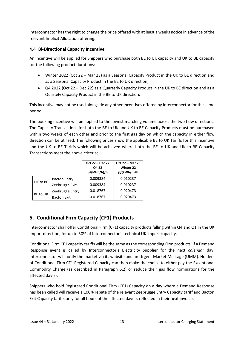Interconnector has the right to change the price offered with at least a weeks notice in advance of the relevant Implicit Allocation offering.

### <span id="page-13-0"></span>4.4 **Bi-Directional Capacity Incentive**

An incentive will be applied for Shippers who purchase both BE to UK capacity and UK to BE capacity for the following product durations:

- Winter 2022 (Oct 22 Mar 23) as a Seasonal Capacity Product in the UK to BE direction and as a Seasonal Capacity Product in the BE to UK direction;
- Q4 2022 (Oct 22 Dec 22) as a Quarterly Capacity Product in the UK to BE direction and as a Quartely Capacity Product in the BE to UK direction.

This incentive may not be used alongside any other incentives offered by Interconnector for the same period.

The booking incentive will be applied to the lowest matching volume across the two flow directions. The Capacity Transactions for both the BE to UK and UK to BE Capacity Products must be purchased within two weeks of each other and prior to the first gas day on which the capacity in either flow direction can be utilised. The following prices show the applicable BE to UK Tariffs for this incentive and the UK to BE Tariffs which will be achieved where both the BE to UK and UK to BE Capacity Transactions meet the above criteria;

|          |                     | Oct 22 – Dec 22<br>Q4 22 | Oct 22 - Mar 23<br><b>Winter 22</b> |  |
|----------|---------------------|--------------------------|-------------------------------------|--|
|          |                     | p/(kWh/h)/h              | p/(kWh/h)/h                         |  |
| UK to BE | <b>Bacton Entry</b> | 0.009384                 | 0.010237                            |  |
|          | Zeebrugge Exit      | 0.009384                 | 0.010237                            |  |
| BE to UK | Zeebrugge Entry     | 0.018767                 | 0.020473                            |  |
|          | <b>Bacton Exit</b>  | 0.018767                 | 0.020473                            |  |

## <span id="page-13-1"></span>**5. Conditional Firm Capacity (CF1) Products**

Interconnector shall offer Conditional Firm (CF1) capacity products falling within Q4 and Q1 in the UK import direction, for up to 30% of Interconnector's technical UK import capacity.

Conditional Firm CF1 capacity tariffs will be the same as the corresponding Firm products. If a Demand Response event is called by Interconnector's Electricity Supplier for the next *calendar* day, Interconnector will notify the market via its website and an Urgent Market Message (UMM). Holders of Conditional Firm CF1 Registered Capacity can then make the choice to either pay the Exceptional Commodity Charge (as described in Paragraph 6.2) or reduce their gas flow nominations for the affected day(s).

Shippers who hold Registered Conditional Firm (CF1) Capacity on a day where a Demand Response has been called will receive a 100% rebate of the relevant Zeebrugge Entry Capacity tariff and Bacton Exit Capacity tariffs only for all hours of the affected day(s), reflected in their next invoice.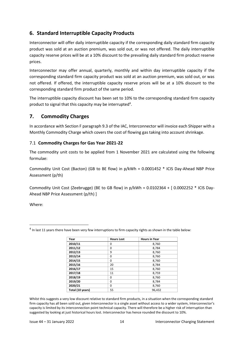## <span id="page-14-0"></span>**6. Standard Interruptible Capacity Products**

Interconnector will offer daily interruptible capacity if the corresponding daily standard firm capacity product was sold at an auction premium, was sold out, or was not offered. The daily interruptible capacity reserve prices will be at a 10% discount to the prevailing daily standard firm product reserve prices.

Interconnector may offer annual, quarterly, monthly and within day interruptible capacity if the corresponding standard firm capacity product was sold at an auction premium, was sold out, or was not offered. If offered, the interruptible capacity reserve prices will be at a 10% discount to the corresponding standard firm product of the same period.

The interruptible capacity discount has been set to 10% to the corresponding standard firm capacity product to signal that this capacity may be interrupted<sup>4</sup>.

## <span id="page-14-1"></span>**7. Commodity Charges**

In accordance with Section F paragraph 9.3 of the IAC, Interconnector will invoice each Shipper with a Monthly Commodity Charge which covers the cost of flowing gas taking into account shrinkage.

## <span id="page-14-2"></span>7.1 **Commodity Charges for Gas Year 2021-22**

The commodity unit costs to be applied from 1 November 2021 are calculated using the following formulae:

Commodity Unit Cost (Bacton) (GB to BE flow) in p/kWh = 0.0001452 \* ICIS Day-Ahead NBP Price Assessment (p/th)

Commodity Unit Cost (Zeebrugge) (BE to GB flow) in p/kWh = 0.0102364 + [ 0.0002252 \* ICIS Day-Ahead NBP Price Assessment (p/th) ]

Where:

| Year             | <b>Hours Lost</b> | <b>Hours in Year</b> |
|------------------|-------------------|----------------------|
| 2010/11          | 0                 | 8,760                |
| 2011/12          | 0                 | 8,784                |
| 2012/13          | 9                 | 8,760                |
| 2013/14          | 0                 | 8,760                |
| 2014/15          | 0                 | 8,760                |
| 2015/16          | 20                | 8,784                |
| 2016/17          | 15                | 8,760                |
| 2017/18          | 11                | 8,759                |
| 2018/19          | 0                 | 8,760                |
| 2019/20          | 0                 | 8,784                |
| 2020/21          | $\Omega$          | 8,760                |
| Total (10 years) | 55                | 96,432               |

 $<sup>4</sup>$  In last 11 years there have been very few interruptions to firm capacity rights as shown in the table below:</sup>

Whilst this suggests a very low discount relative to standard firm products, in a situation when the corresponding standard firm capacity has all been sold out, given Interconnector is a single asset without access to a wider system, Interconnector's capacity is limited by its interconnection point technical capacity. There will therefore be a higher risk of interruption than suggested by looking at just historical hours lost. Interconnector has hence rounded the discount to 10%.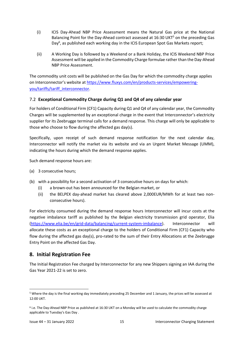- (i) ICIS Day-Ahead NBP Price Assessment means the Natural Gas price at the National Balancing Point for the Day-Ahead contract assessed at 16:30 UKT<sup>5</sup> on the preceding Gas Day<sup>6</sup>, as published each working day in the ICIS European Spot Gas Markets report;
- (ii) A Working Day is followed by a Weekend or a Bank Holiday, the ICIS Weekend NBP Price Assessment will be applied in the Commodity Charge formulae rather than the Day-Ahead NBP Price Assessment.

The commodity unit costs will be published on the Gas Day for which the commodity charge applies on Interconnector's website at [https://www.fluxys.com/en/products-services/empowering](https://www.fluxys.com/en/products-services/empowering-you/tariffs/tariff_interconnector)[you/tariffs/tariff\\_interconnector.](https://www.fluxys.com/en/products-services/empowering-you/tariffs/tariff_interconnector)

#### <span id="page-15-0"></span>7.2 **Exceptional Commodity Charge during Q1 and Q4 of any calendar year**

For holders of Conditional Firm (CF1) Capacity during Q1 and Q4 of any calendar year, the Commodity Charges will be supplemented by an exceptional charge in the event that Interconnector's electricity supplier for its Zeebrugge terminal calls for a demand response. This charge will only be applicable to those who choose to flow during the affected gas day(s).

Specifically, upon receipt of such demand response notification for the next calendar day, Interconnector will notify the market via its website and via an Urgent Market Message (UMM), indicating the hours during which the demand response applies.

Such demand response hours are:

- (a) 3 consecutive hours;
- (b) with a possibility for a second activation of 3 consecutive hours on days for which:
	- (i) a brown-out has been announced for the Belgian market, or
	- (ii) the BELPEX day-ahead market has cleared above 2,000EUR/MWh for at least two nonconsecutive hours).

For electricity consumed during the demand response hours Interconnector will incur costs at the negative imbalance tariff as published by the Belgian electricity transmission grid operator, Elia [\(https://www.elia.be/en/grid-data/balancing/current-system-imbalance\)](https://www.elia.be/en/grid-data/balancing/current-system-imbalance). Interconnector will allocate these costs as an exceptional charge to the holders of Conditional Firm (CF1) Capacity who flow during the affected gas day(s), pro-rated to the sum of their Entry Allocations at the Zeebrugge Entry Point on the affected Gas Day.

## <span id="page-15-1"></span>**8. Initial Registration Fee**

The Initial Registration Fee charged by Interconnector for any new Shippers signing an IAA during the Gas Year 2021-22 is set to zero.

<sup>5</sup> Where the day is the final working day immediately preceding 25 December and 1 January, the prices will be assessed at 12:00 UKT.

<sup>6</sup> i.e. The Day-Ahead NBP Price as published at 16:30 UKT on a Monday will be used to calculate the commodity charge applicable to Tuesday's Gas Day .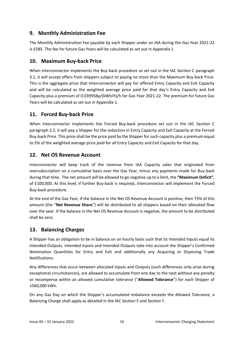## <span id="page-16-0"></span>**9. Monthly Administration Fee**

The Monthly Administration Fee payable by each Shipper under an IAA during the Gas Year 2021-22 is £585. The fee for future Gas Years will be calculated as set out in Appendix 1.

## <span id="page-16-1"></span>**10. Maximum Buy-back Price**

When Interconnector implements the Buy-back procedure as set out in the IAC Section C paragraph 3.1, it will accept offers from shippers subject to paying no more than the Maximum Buy-back Price. This is the aggregate price that Interconnector will pay for offered Entry Capacity and Exit Capacity and will be calculated as the weighted average price paid for that day's Entry Capacity and Exit Capacity plus a premium of 0.039958p/(kWh/h)/h for Gas Year 2021-22. The premium for future Gas Years will be calculated as set out in Appendix 1.

## <span id="page-16-2"></span>**11. Forced Buy-back Price**

When Interconnector implements the Forced Buy-back procedure set out in the IAC Section C paragraph 3.2, it will pay a Shipper for the reduction in Entry Capacity and Exit Capacity at the Forced Buy-back Price. This price shall be the price paid by the Shipper for such capacity plus a premium equal to 5% of the weighted average price paid for all Entry Capacity and Exit Capacity for that day.

## <span id="page-16-3"></span>**12. Net OS Revenue Account**

Interconnector will keep track of the revenue from IAA Capacity sales that originated from oversubscription on a cumulative basis over the Gas Year, minus any payments made for Buy-back during that time. The net amount will be allowed to go negative up to a limit, the **"Maximum Deficit"**, of £100,000. At this level, if further Buy-back is required, Interconnector will implement the Forced Buy-back procedure.

At the end of the Gas Year, if the balance in the Net OS Revenue Account is positive, then 75% of this amount (the "**Net Revenue Share**") will be distributed to all shippers based on their allocated flow over the year. If the balance in the Net OS Revenue Account is negative, the amount to be distributed shall be zero.

## <span id="page-16-4"></span>**13. Balancing Charges**

A Shipper has an obligation to be in balance on an hourly basis such that its Intended Inputs equal its Intended Outputs. Intended Inputs and Intended Outputs take into account the Shipper's Confirmed Nomination Quantities for Entry and Exit and additionally any Acquiring or Disposing Trade Notifications.

Any differences that occur between allocated Inputs and Outputs (such differences only arise during exceptional circumstances), are allowed to accumulate from one day to the next without any penalty or recompense within an allowed cumulative tolerance ("**Allowed Tolerance**") for each Shipper of ±560,000 kWh.

On any Gas Day on which the Shipper's accumulated imbalance exceeds the Allowed Tolerance, a Balancing Charge shall apply as detailed in the IAC Section E and Section F.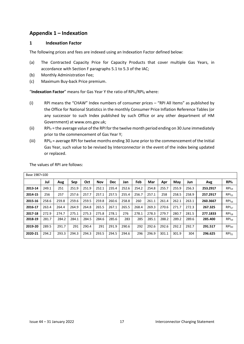## <span id="page-17-0"></span>**Appendix 1 – Indexation**

#### <span id="page-17-1"></span>**1 Indexation Factor**

The following prices and fees are indexed using an Indexation Factor defined below:

- (a) The Contracted Capacity Price for Capacity Products that cover multiple Gas Years, in accordance with Section F paragraphs 5.1 to 5.3 of the IAC;
- (b) Monthly Administration Fee;
- (c) Maximum Buy-back Price premium.

"**Indexation Factor**" means for Gas Year Y the ratio of RPI<sub>Y</sub>/RPI<sub>0</sub> where:

- (i) RPI means the "CHAW" Index numbers of consumer prices "RPI All Items" as published by the Office for National Statistics in the monthly Consumer Price Inflation Reference Tables (or any successor to such Index published by such Office or any other department of HM Government) at www.ons.gov.uk;
- (ii) RPI<sub>Y</sub> = the average value of the RPI for the twelve month period ending on 30 June immediately prior to the commencement of Gas Year Y;
- (iii)  $RPI_0$  = average RPI for twelve months ending 30 June prior to the commencement of the Initial Gas Year, such value to be revised by Interconnector in the event of the index being updated or replaced.

| The values of RPI are follows: |  |
|--------------------------------|--|
|                                |  |

| Base 1987=100 |       |       |       |       |            |            |       |       |       |       |       |       |          |                        |
|---------------|-------|-------|-------|-------|------------|------------|-------|-------|-------|-------|-------|-------|----------|------------------------|
|               | Jul   | Aug   | Sep   | Oct   | <b>Nov</b> | <b>Dec</b> | Jan   | Feb   | Mar   | Apr   | May   | Jun   | Avg      | <b>RPI<sub>Y</sub></b> |
| 2013-14       | 249.1 | 251   | 251.9 | 251.9 | 252.1      | 235.4      | 252.6 | 254.2 | 254.8 | 255.7 | 255.9 | 256.3 | 253.2917 | RPI <sub>14</sub>      |
| 2014-15       | 256   | 257   | 257.6 | 257.7 | 257.1      | 257.5      | 255.4 | 256.7 | 257.1 | 258   | 258.5 | 258.9 | 257.2917 | $RPI_{15}$             |
| 2015-16       | 258.6 | 259.8 | 259.6 | 259.5 | 259.8      | 260.6      | 258.8 | 260   | 261.1 | 261.4 | 262.1 | 263.1 | 260.3667 | RPI <sub>16</sub>      |
| 2016-17       | 263.4 | 264.4 | 264.9 | 264.8 | 265.5      | 267.1      | 265.5 | 268.4 | 269.3 | 270.6 | 271.7 | 272.3 | 267.325  | $RPI_{17}$             |
| 2017-18       | 272.9 | 274.7 | 275.1 | 275.3 | 275.8      | 278.1      | 276   | 278.1 | 278.3 | 279.7 | 280.7 | 281.5 | 277.1833 | $RPI_{18}$             |
| 2018-19       | 281.7 | 284.2 | 284.1 | 284.5 | 284.6      | 285.6      | 283   | 285   | 285.1 | 288.2 | 289.2 | 289.6 | 285.400  | RPI <sub>19</sub>      |
| 2019-20       | 289.5 | 291.7 | 291   | 290.4 | 291        | 291.9      | 290.6 | 292   | 292.6 | 292.6 | 292.2 | 292.7 | 291.517  | $RPI_{20}$             |
| 2020-21       | 294.2 | 293.3 | 294.3 | 294.3 | 293.5      | 294.5      | 294.6 | 296   | 296.9 | 301.1 | 301.9 | 304   | 296.625  | $RPI_{21}$             |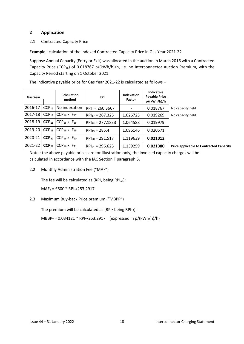#### <span id="page-18-0"></span>**2 Application**

2.1 Contracted Capacity Price

**Example** : calculation of the indexed Contracted Capacity Price in Gas Year 2021-22

Suppose Annual Capacity (Entry or Exit) was allocated in the auction in March 2016 with a Contracted Capacity Price (CCP<sub>16</sub>) of 0.018767 p/(kWh/h)/h, i.e. no Interconnector Auction Premium, with the Capacity Period starting on 1 October 2021:

The indicative payable price for Gas Year 2021-22 is calculated as follows –

| <b>Gas Year</b> | <b>Calculation</b><br>method                                   | <b>RPI</b>            | Indexation<br>Factor | <b>Indicative</b><br><b>Payable Price</b><br>p/(kWh/h)/h |                                                |
|-----------------|----------------------------------------------------------------|-----------------------|----------------------|----------------------------------------------------------|------------------------------------------------|
| 2016-17         | $CCP_{16}$ No indexation                                       | $RPI_0 = 260.3667$    |                      | 0.018767                                                 | No capacity held                               |
| 2017-18         | CCP <sub>17</sub> CCP <sub>16</sub> x IF <sub>17</sub>         | $RPI_{17} = 267.325$  | 1.026725             | 0.019269                                                 | No capacity held                               |
| $2018 - 19$     | <b>CCP<sub>18</sub></b> CCP <sub>16</sub> x IF <sub>18</sub>   | $RPI_{18} = 277.1833$ | 1.064588             | 0.019979                                                 |                                                |
|                 | 2019-20 CCP <sub>19</sub> CCP <sub>16</sub> x IF <sub>19</sub> | $RPI_{19} = 285.4$    | 1.096146             | 0.020571                                                 |                                                |
| 2020-21         | <b>CCP<sub>20</sub></b> CCP <sub>16</sub> x IF <sub>20</sub>   | $RPI_{20} = 291.517$  | 1.119639             | 0.021012                                                 |                                                |
| 2021-22         | <b>CCP<sub>21</sub></b> $ CCP_{16} \times IF_{21} $            | $RPI_{21} = 296.625$  | 1.139259             | 0.021380                                                 | <b>Price applicable to Contracted Capacity</b> |

Note : the above payable prices are for illustration only, the invoiced capacity charges will be calculated in accordance with the IAC Section F paragraph 5.

2.2 Monthly Administration Fee ("MAF")

The fee will be calculated as  $(RPI<sub>0</sub>$  being  $RPI<sub>14</sub>)$ :

MAF<sup>Y</sup> = £500 \* RPIY/253.2917

2.3 Maximum Buy-back Price premium ("MBPP")

The premium will be calculated as  $(RPI_0$  being  $RPI_{14}$ ):

 $MBBP<sub>Y</sub> = 0.034121 * RPI<sub>Y</sub>/253.2917$  (expressed in p/(kWh/h)/h)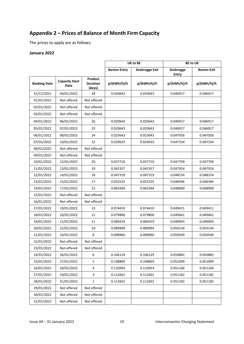# <span id="page-19-0"></span>**Appendix 2 – Prices of Balance of Month Firm Capacity**

The prices to apply are as follows:

#### **January 2022**

|                     |                               |                                      |                     | UK to BE       | <b>BE to UK</b>           |                    |  |
|---------------------|-------------------------------|--------------------------------------|---------------------|----------------|---------------------------|--------------------|--|
|                     |                               |                                      | <b>Bacton Entry</b> | Zeebrugge Exit | Zeebrugge<br><b>Entry</b> | <b>Bacton Exit</b> |  |
| <b>Booking Date</b> | <b>Capacity Start</b><br>Date | Product<br><b>Duration</b><br>(days) | p/(kWh/h)/h         | p/(kWh/h)/h    | p/(kWh/h)/h               | p/(kWh/h)/h        |  |
| 31/12/2021          | 04/01/2022                    | 28                                   | 0.020643            | 0.020643       | 0.046917                  | 0.046917           |  |
| 01/01/2022          | Not offered                   | Not offered                          |                     |                |                           |                    |  |
| 02/01/2022          | Not offered                   | Not offered                          |                     |                |                           |                    |  |
| 03/01/2022          | Not offered                   | Not offered                          |                     |                |                           |                    |  |
| 04/01/2022          | 06/01/2022                    | 26                                   | 0.020643            | 0.020643       | 0.046917                  | 0.046917           |  |
| 05/01/2022          | 07/01/2022                    | 25                                   | 0.020643            | 0.020643       | 0.046917                  | 0.046917           |  |
| 06/01/2022          | 08/01/2022                    | 24                                   | 0.023643            | 0.023643       | 0.047056                  | 0.047056           |  |
| 07/01/2022          | 10/01/2022                    | 22                                   | 0.029633            | 0.029633       | 0.047334                  | 0.047334           |  |
| 08/01/2022          | Not offered                   | Not offered                          |                     |                |                           |                    |  |
| 09/01/2022          | Not offered                   | Not offered                          |                     |                |                           |                    |  |
| 10/01/2022          | 12/01/2022                    | 20                                   | 0.037710            | 0.037710       | 0.047709                  | 0.047709           |  |
| 11/01/2022          | 13/01/2022                    | 19                                   | 0.042357            | 0.042357       | 0.047924                  | 0.047924           |  |
| 12/01/2022          | 14/01/2022                    | 18                                   | 0.047319            | 0.047319       | 0.048154                  | 0.048154           |  |
| 13/01/2022          | 15/01/2022                    | 17                                   | 0.052525            | 0.052525       | 0.048396                  | 0.048396           |  |
| 14/01/2022          | 17/01/2022                    | 15                                   | 0.063394            | 0.063394       | 0.048900                  | 0.048900           |  |
| 15/01/2022          | Not offered                   | Not offered                          |                     |                |                           |                    |  |
| 16/01/2022          | Not offered                   | Not offered                          |                     |                |                           |                    |  |
| 17/01/2022          | 19/01/2022                    | 13                                   | 0.074410            | 0.074410       | 0.049411                  | 0.049411           |  |
| 18/01/2022          | 20/01/2022                    | 12                                   | 0.079800            | 0.079800       | 0.049661                  | 0.049661           |  |
| 19/01/2022          | 21/01/2022                    | 11                                   | 0.085019            | 0.085019       | 0.049903                  | 0.049903           |  |
| 20/01/2022          | 22/01/2022                    | 10                                   | 0.089999            | 0.089999       | 0.050134                  | 0.050134           |  |
| 21/01/2022          | 24/01/2022                    | 8                                    | 0.098960            | 0.098960       | 0.050549                  | 0.050549           |  |
| 22/01/2022          | Not offered                   | Not offered                          |                     |                |                           |                    |  |
| 23/01/2022          | Not offered                   | Not offered                          |                     |                |                           |                    |  |
| 24/01/2022          | 26/01/2022                    | 6                                    | 0.106129            | 0.106129       | 0.050882                  | 0.050882           |  |
| 25/01/2022          | 27/01/2022                    | 5                                    | 0.108869            | 0.108869       | 0.051009                  | 0.051009           |  |
| 26/01/2022          | 28/01/2022                    | 4                                    | 0.110954            | 0.110954       | 0.051106                  | 0.051106           |  |
| 27/01/2022          | 29/01/2022                    | 3                                    | 0.112601            | 0.112601       | 0.051182                  | 0.051182           |  |
| 28/01/2022          | 31/01/2022                    | 1                                    | 0.112601            | 0.112601       | 0.051182                  | 0.051182           |  |
| 29/01/2022          | Not offered                   | Not offered                          |                     |                |                           |                    |  |
| 30/01/2022          | Not offered                   | Not offered                          |                     |                |                           |                    |  |
| 31/01/2022          | Not offered                   | Not offered                          |                     |                |                           |                    |  |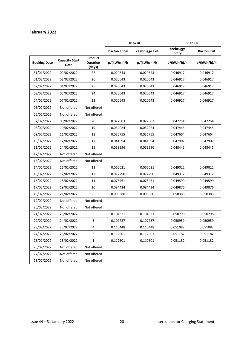## **February 2022**

|                     |                               |                                      | UK to BE            |                | <b>BE to UK</b>           |                    |
|---------------------|-------------------------------|--------------------------------------|---------------------|----------------|---------------------------|--------------------|
|                     |                               |                                      | <b>Bacton Entry</b> | Zeebrugge Exit | Zeebrugge<br><b>Entry</b> | <b>Bacton Exit</b> |
| <b>Booking Date</b> | <b>Capacity Start</b><br>Date | Product<br><b>Duration</b><br>(days) | p/(kWh/h)/h         | p/(kWh/h)/h    | p/(kWh/h)/h               | p/(kWh/h)/h        |
| 31/01/2022          | 02/02/2022                    | 27                                   | 0.020643            | 0.020643       | 0.046917                  | 0.046917           |
| 01/02/2022          | 03/02/2022                    | 26                                   | 0.020643            | 0.020643       | 0.046917                  | 0.046917           |
| 02/02/2022          | 04/02/2022                    | 25                                   | 0.020643            | 0.020643       | 0.046917                  | 0.046917           |
| 03/02/2022          | 05/02/2022                    | 24                                   | 0.020643            | 0.020643       | 0.046917                  | 0.046917           |
| 04/02/2022          | 07/02/2022                    | 22                                   | 0.020643            | 0.020643       | 0.046917                  | 0.046917           |
| 05/02/2022          | Not offered                   | Not offered                          |                     |                |                           |                    |
| 06/02/2022          | Not offered                   | Not offered                          |                     |                |                           |                    |
| 07/02/2022          | 09/02/2022                    | 20                                   | 0.027903            | 0.027903       | 0.047254                  | 0.047254           |
| 08/02/2022          | 10/02/2022                    | 19                                   | 0.032024            | 0.032024       | 0.047445                  | 0.047445           |
| 09/02/2022          | 11/02/2022                    | 18                                   | 0.036755            | 0.036755       | 0.047664                  | 0.047664           |
| 10/02/2022          | 12/02/2022                    | 17                                   | 0.041994            | 0.041994       | 0.047907                  | 0.047907           |
| 11/02/2022          | 14/02/2022                    | 15                                   | 0.053596            | 0.053596       | 0.048445                  | 0.048445           |
| 12/02/2022          | Not offered                   | Not offered                          |                     |                |                           |                    |
| 13/02/2022          | Not offered                   | Not offered                          |                     |                |                           |                    |
| 14/02/2022          | 16/02/2022                    | 13                                   | 0.066021            | 0.066021       | 0.049022                  | 0.049022           |
| 15/02/2022          | 17/02/2022                    | 12                                   | 0.072290            | 0.072290       | 0.049312                  | 0.049312           |
| 16/02/2022          | 18/02/2022                    | 11                                   | 0.078461            | 0.078461       | 0.049599                  | 0.049599           |
| 17/02/2022          | 19/02/2022                    | 10                                   | 0.084434            | 0.084434       | 0.049876                  | 0.049876           |
| 18/02/2022          | 21/02/2022                    | 8                                    | 0.095380            | 0.095380       | 0.050383                  | 0.050383           |
| 19/02/2022          | Not offered                   | Not offered                          |                     |                |                           |                    |
| 20/02/2022          | Not offered                   | Not offered                          |                     |                |                           |                    |
| 21/02/2022          | 23/02/2022                    | 6                                    | 0.104321            | 0.104321       | 0.050798                  | 0.050798           |
| 22/02/2022          | 24/02/2022                    | 5                                    | 0.107787            | 0.107787       | 0.050959                  | 0.050959           |
| 23/02/2022          | 25/02/2022                    | 4                                    | 0.110448            | 0.110448       | 0.051082                  | 0.051082           |
| 24/02/2022          | 26/02/2022                    | 3                                    | 0.112601            | 0.112601       | 0.051182                  | 0.051182           |
| 25/02/2022          | 28/02/2022                    | 1                                    | 0.112601            | 0.112601       | 0.051182                  | 0.051182           |
| 26/02/2022          | Not offered                   | Not offered                          |                     |                |                           |                    |
| 27/02/2022          | Not offered                   | Not offered                          |                     |                |                           |                    |
| 28/02/2022          | Not offered                   | Not offered                          |                     |                |                           |                    |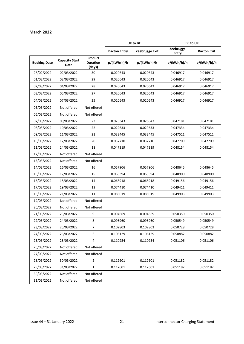#### **March 2022**

|                     |                               |                                      | UK to BE            |                | <b>BE to UK</b>             |                    |
|---------------------|-------------------------------|--------------------------------------|---------------------|----------------|-----------------------------|--------------------|
|                     |                               |                                      | <b>Bacton Entry</b> | Zeebrugge Exit |                             | <b>Bacton Exit</b> |
| <b>Booking Date</b> | <b>Capacity Start</b><br>Date | Product<br><b>Duration</b><br>(days) | p/(kWh/h)/h         | p/(kWh/h)/h    | <b>Entry</b><br>p/(kWh/h)/h | p/(kWh/h)/h        |
| 28/02/2022          | 02/03/2022                    | 30                                   | 0.020643            | 0.020643       | 0.046917                    | 0.046917           |
| 01/03/2022          | 03/03/2022                    | 29                                   | 0.020643            | 0.020643       | 0.046917                    | 0.046917           |
| 02/03/2022          | 04/03/2022                    | 28                                   | 0.020643            | 0.020643       | 0.046917                    | 0.046917           |
| 03/03/2022          | 05/03/2022                    | 27                                   | 0.020643            | 0.020643       | 0.046917                    | 0.046917           |
| 04/03/2022          | 07/03/2022                    | 25                                   | 0.020643            | 0.020643       | 0.046917                    | 0.046917           |
| 05/03/2022          | Not offered                   | Not offered                          |                     |                |                             |                    |
| 06/03/2022          | Not offered                   | Not offered                          |                     |                |                             |                    |
| 07/03/2022          | 09/03/2022                    | 23                                   | 0.026343            | 0.026343       | 0.047181                    | 0.047181           |
| 08/03/2022          | 10/03/2022                    | 22                                   | 0.029633            | 0.029633       | 0.047334                    | 0.047334           |
| 09/03/2022          | 11/03/2022                    | 21                                   | 0.033445            | 0.033445       | 0.047511                    | 0.047511           |
| 10/03/2022          | 12/03/2022<br>20              |                                      | 0.037710            | 0.037710       | 0.047709                    | 0.047709           |
| 11/03/2022          | 14/03/2022                    | 18                                   | 0.047319            | 0.047319       | 0.048154                    | 0.048154           |
| 12/03/2022          | Not offered                   | Not offered                          |                     |                |                             |                    |
| 13/03/2022          | Not offered                   | Not offered                          |                     |                |                             |                    |
| 14/03/2022          | 16/03/2022                    | 16                                   | 0.057906            | 0.057906       | 0.048645                    | 0.048645           |
| 15/03/2022          | 17/03/2022                    | 15                                   | 0.063394            | 0.063394       | 0.048900                    | 0.048900           |
| 16/03/2022          | 18/03/2022                    | 14                                   | 0.068918            | 0.068918       | 0.049156                    | 0.049156           |
| 17/03/2022          | 19/03/2022                    | 13                                   | 0.074410            | 0.074410       | 0.049411                    | 0.049411           |
| 18/03/2022          | 21/03/2022                    | 11                                   | 0.085019            | 0.085019       | 0.049903                    | 0.049903           |
| 19/03/2022          | Not offered                   | Not offered                          |                     |                |                             |                    |
| 20/03/2022          | Not offered                   | Not offered                          |                     |                |                             |                    |
| 21/03/2022          | 23/03/2022                    | 9                                    | 0.094669            | 0.094669       | 0.050350                    | 0.050350           |
| 22/03/2022          | 24/03/2022                    | 8                                    | 0.098960            | 0.098960       | 0.050549                    | 0.050549           |
| 23/03/2022          | 25/03/2022                    | $\overline{7}$                       | 0.102803            | 0.102803       | 0.050728                    | 0.050728           |
| 24/03/2022          | 26/03/2022                    | 6                                    | 0.106129            | 0.106129       | 0.050882                    | 0.050882           |
| 25/03/2022          | 28/03/2022                    | 4                                    | 0.110954            | 0.110954       | 0.051106                    | 0.051106           |
| 26/03/2022          | Not offered                   | Not offered                          |                     |                |                             |                    |
| 27/03/2022          | Not offered                   | Not offered                          |                     |                |                             |                    |
| 28/03/2022          | 30/03/2022                    | $\overline{2}$                       | 0.112601            | 0.112601       | 0.051182                    | 0.051182           |
| 29/03/2022          | 31/03/2022                    | $\mathbf 1$                          | 0.112601            | 0.112601       | 0.051182                    | 0.051182           |
| 30/03/2022          | Not offered                   | Not offered                          |                     |                |                             |                    |
| 31/03/2022          | Not offered                   | Not offered                          |                     |                |                             |                    |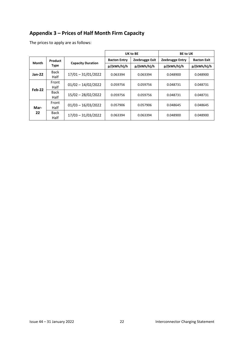# <span id="page-22-0"></span>**Appendix 3 – Prices of Half Month Firm Capacity**

The prices to apply are as follows:

|            |                     |                          |                     | UK to BE       | <b>BE to UK</b> |                    |  |
|------------|---------------------|--------------------------|---------------------|----------------|-----------------|--------------------|--|
| Month      | Product             | <b>Capacity Duration</b> | <b>Bacton Entry</b> | Zeebrugge Exit |                 | <b>Bacton Exit</b> |  |
|            | <b>Type</b>         |                          | p/(kWh/h)/h         | p/(kWh/h)/h    | p/(kWh/h)/h     | p/(kWh/h)/h        |  |
| Jan-22     | <b>Back</b><br>Half | $17/01 - 31/01/2022$     | 0.063394            | 0.063394       | 0.048900        | 0.048900           |  |
|            |                     |                          |                     |                |                 |                    |  |
| Feb-22     | Front<br>Half       | $01/02 - 14/02/2022$     | 0.059756            | 0.059756       | 0.048731        | 0.048731           |  |
|            | <b>Back</b><br>Half | $15/02 - 28/02/2022$     | 0.059756            | 0.059756       | 0.048731        | 0.048731           |  |
| Mar-<br>22 | Front<br>Half       | $01/03 - 16/03/2022$     | 0.057906            | 0.057906       | 0.048645        | 0.048645           |  |
|            | <b>Back</b><br>Half | $17/03 - 31/03/2022$     | 0.063394            | 0.063394       | 0.048900        | 0.048900           |  |